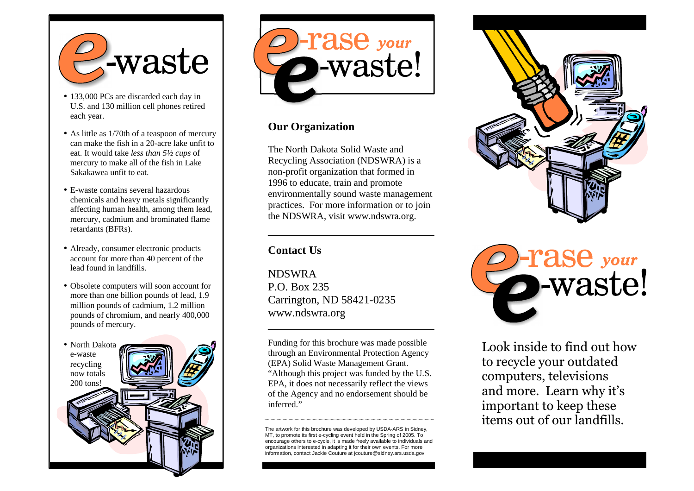

- 133,000 PCs are discarded each day in U.S. and 130 million cell phones retired each year.
- As little as 1/70th of a teaspoon of mercury can make the fish in a 20-acre lake unfit to eat. It would take *less than 5½ cups* of mercury to make all of the fish in Lake Sakakawea unfit to eat.
- E-waste contains several hazardous chemicals and heavy metals significantly affecting human health, among them lead, mercury, cadmium and brominated flame retardants (BFRs).
- Already, consumer electronic products account for more than 40 percent of the lead found in landfills.
- Obsolete computers will soon account for more than one billion pounds of lead, 1.9 million pounds of cadmium, 1.2 million pounds of chromium, and nearly 400,000 pounds of mercury.





## **Our Organization**

The North Dakota Solid Waste and Recycling Association (NDSWRA) is a non-profit organization that formed in 1996 to educate, train and promote environmentally sound waste management practices. For more information or to join the NDSWRA, visit www.ndswra.org.

## **Contact Us**

NDSWRA P.O. Box 235 Carrington, ND 58421-0235 www.ndswra.org

Funding for this brochure was made possible through an Environmental Protection Agency (EPA) Solid Waste Management Grant. "Although this project was funded by the U.S. EPA, it does not necessarily reflect the views of the Agency and no endorsement should be inferred."

The artwork for this brochure was developed by USDA-ARS in Sidney, MT, to promote its first e-cycling event held in the Spring of 2005. To encourage others to e-cycle, it is made freely available to individuals and organizations interested in adapting it for their own events. For more information, contact Jackie Couture at jcouture@sidney.ars.usda.gov





Look inside to find out how to recycle your outdated computers, televisions and more. Learn why it's important to keep these items out of our landfills.